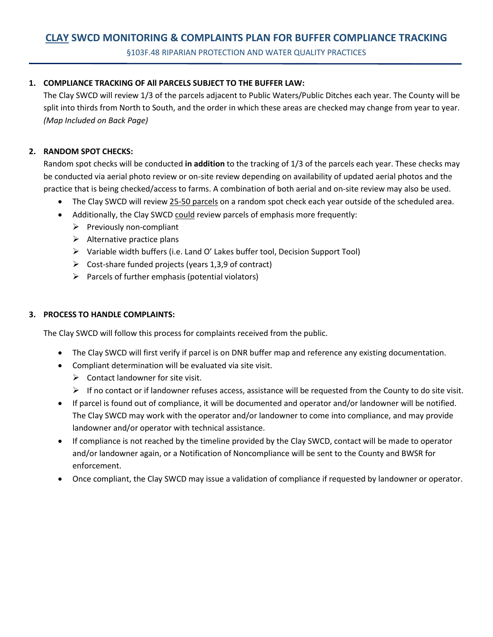## **CLAY SWCD MONITORING & COMPLAINTS PLAN FOR BUFFER COMPLIANCE TRACKING**

§103F.48 RIPARIAN PROTECTION AND WATER QUALITY PRACTICES

## **1. COMPLIANCE TRACKING OF All PARCELS SUBJECT TO THE BUFFER LAW:**

The Clay SWCD will review 1/3 of the parcels adjacent to Public Waters/Public Ditches each year. The County will be split into thirds from North to South, and the order in which these areas are checked may change from year to year. *(Map Included on Back Page)*

## **2. RANDOM SPOT CHECKS:**

Random spot checks will be conducted **in addition** to the tracking of 1/3 of the parcels each year. These checks may be conducted via aerial photo review or on-site review depending on availability of updated aerial photos and the practice that is being checked/access to farms. A combination of both aerial and on-site review may also be used.

- The Clay SWCD will review 25-50 parcels on a random spot check each year outside of the scheduled area.
- Additionally, the Clay SWCD could review parcels of emphasis more frequently:
	- ➢ Previously non-compliant
	- $\triangleright$  Alternative practice plans
	- ➢ Variable width buffers (i.e. Land O' Lakes buffer tool, Decision Support Tool)
	- $\triangleright$  Cost-share funded projects (years 1,3,9 of contract)
	- $\triangleright$  Parcels of further emphasis (potential violators)

## **3. PROCESS TO HANDLE COMPLAINTS:**

The Clay SWCD will follow this process for complaints received from the public.

- The Clay SWCD will first verify if parcel is on DNR buffer map and reference any existing documentation.
- Compliant determination will be evaluated via site visit.
	- $\triangleright$  Contact landowner for site visit.
	- $\triangleright$  If no contact or if landowner refuses access, assistance will be requested from the County to do site visit.
- If parcel is found out of compliance, it will be documented and operator and/or landowner will be notified. The Clay SWCD may work with the operator and/or landowner to come into compliance, and may provide landowner and/or operator with technical assistance.
- If compliance is not reached by the timeline provided by the Clay SWCD, contact will be made to operator and/or landowner again, or a Notification of Noncompliance will be sent to the County and BWSR for enforcement.
- Once compliant, the Clay SWCD may issue a validation of compliance if requested by landowner or operator.